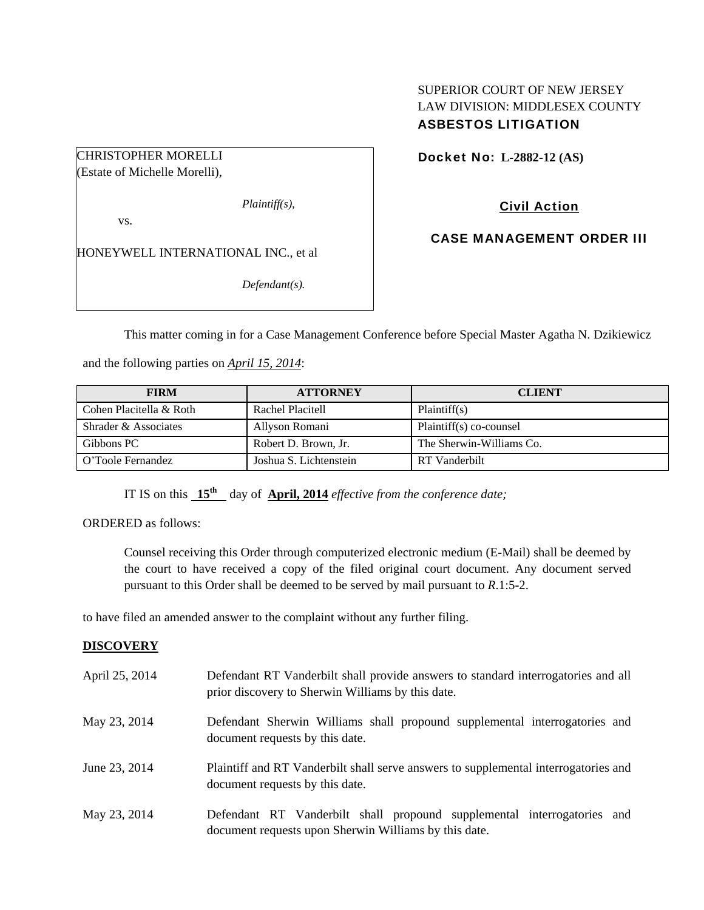### SUPERIOR COURT OF NEW JERSEY LAW DIVISION: MIDDLESEX COUNTY ASBESTOS LITIGATION

CHRISTOPHER MORELLI

(Estate of Michelle Morelli),

*Plaintiff(s),* 

vs.

HONEYWELL INTERNATIONAL INC., et al

*Defendant(s).* 

Docket No: **L-2882-12 (AS)** 

# Civil Action

CASE MANAGEMENT ORDER III

This matter coming in for a Case Management Conference before Special Master Agatha N. Dzikiewicz

and the following parties on *April 15, 2014*:

| <b>FIRM</b>             | <b>ATTORNEY</b>        | <b>CLIENT</b>            |
|-------------------------|------------------------|--------------------------|
| Cohen Placitella & Roth | Rachel Placitell       | Plaintiff(s)             |
| Shrader & Associates    | Allyson Romani         | Plaintiff(s) co-counsel  |
| Gibbons PC              | Robert D. Brown, Jr.   | The Sherwin-Williams Co. |
| O'Toole Fernandez       | Joshua S. Lichtenstein | RT Vanderbilt            |

IT IS on this **15th** day of **April, 2014** *effective from the conference date;*

ORDERED as follows:

Counsel receiving this Order through computerized electronic medium (E-Mail) shall be deemed by the court to have received a copy of the filed original court document. Any document served pursuant to this Order shall be deemed to be served by mail pursuant to *R*.1:5-2.

to have filed an amended answer to the complaint without any further filing.

## **DISCOVERY**

| April 25, 2014 | Defendant RT Vanderbilt shall provide answers to standard interrogatories and all<br>prior discovery to Sherwin Williams by this date. |
|----------------|----------------------------------------------------------------------------------------------------------------------------------------|
| May 23, 2014   | Defendant Sherwin Williams shall propound supplemental interrogatories and<br>document requests by this date.                          |
| June 23, 2014  | Plaintiff and RT Vanderbilt shall serve answers to supplemental interrogatories and<br>document requests by this date.                 |
| May 23, 2014   | Defendant RT Vanderbilt shall propound supplemental interrogatories and<br>document requests upon Sherwin Williams by this date.       |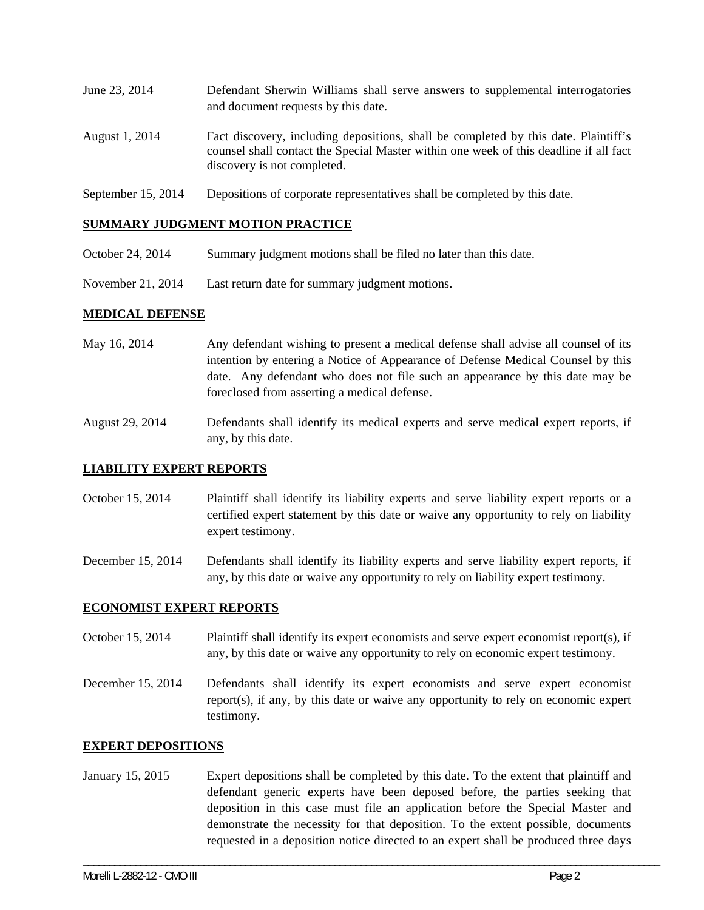| June 23, 2014  | Defendant Sherwin Williams shall serve answers to supplemental interrogatories<br>and document requests by this date.                                                                                       |
|----------------|-------------------------------------------------------------------------------------------------------------------------------------------------------------------------------------------------------------|
| August 1, 2014 | Fact discovery, including depositions, shall be completed by this date. Plaintiff's<br>counsel shall contact the Special Master within one week of this deadline if all fact<br>discovery is not completed. |

September 15, 2014 Depositions of corporate representatives shall be completed by this date.

### **SUMMARY JUDGMENT MOTION PRACTICE**

- October 24, 2014 Summary judgment motions shall be filed no later than this date.
- November 21, 2014 Last return date for summary judgment motions.

#### **MEDICAL DEFENSE**

- May 16, 2014 Any defendant wishing to present a medical defense shall advise all counsel of its intention by entering a Notice of Appearance of Defense Medical Counsel by this date. Any defendant who does not file such an appearance by this date may be foreclosed from asserting a medical defense.
- August 29, 2014 Defendants shall identify its medical experts and serve medical expert reports, if any, by this date.

### **LIABILITY EXPERT REPORTS**

- October 15, 2014 Plaintiff shall identify its liability experts and serve liability expert reports or a certified expert statement by this date or waive any opportunity to rely on liability expert testimony.
- December 15, 2014 Defendants shall identify its liability experts and serve liability expert reports, if any, by this date or waive any opportunity to rely on liability expert testimony.

#### **ECONOMIST EXPERT REPORTS**

- October 15, 2014 Plaintiff shall identify its expert economists and serve expert economist report(s), if any, by this date or waive any opportunity to rely on economic expert testimony.
- December 15, 2014 Defendants shall identify its expert economists and serve expert economist report(s), if any, by this date or waive any opportunity to rely on economic expert testimony.

#### **EXPERT DEPOSITIONS**

January 15, 2015 Expert depositions shall be completed by this date. To the extent that plaintiff and defendant generic experts have been deposed before, the parties seeking that deposition in this case must file an application before the Special Master and demonstrate the necessity for that deposition. To the extent possible, documents requested in a deposition notice directed to an expert shall be produced three days

\_\_\_\_\_\_\_\_\_\_\_\_\_\_\_\_\_\_\_\_\_\_\_\_\_\_\_\_\_\_\_\_\_\_\_\_\_\_\_\_\_\_\_\_\_\_\_\_\_\_\_\_\_\_\_\_\_\_\_\_\_\_\_\_\_\_\_\_\_\_\_\_\_\_\_\_\_\_\_\_\_\_\_\_\_\_\_\_\_\_\_\_\_\_\_\_\_\_\_\_\_\_\_\_\_\_\_\_\_\_